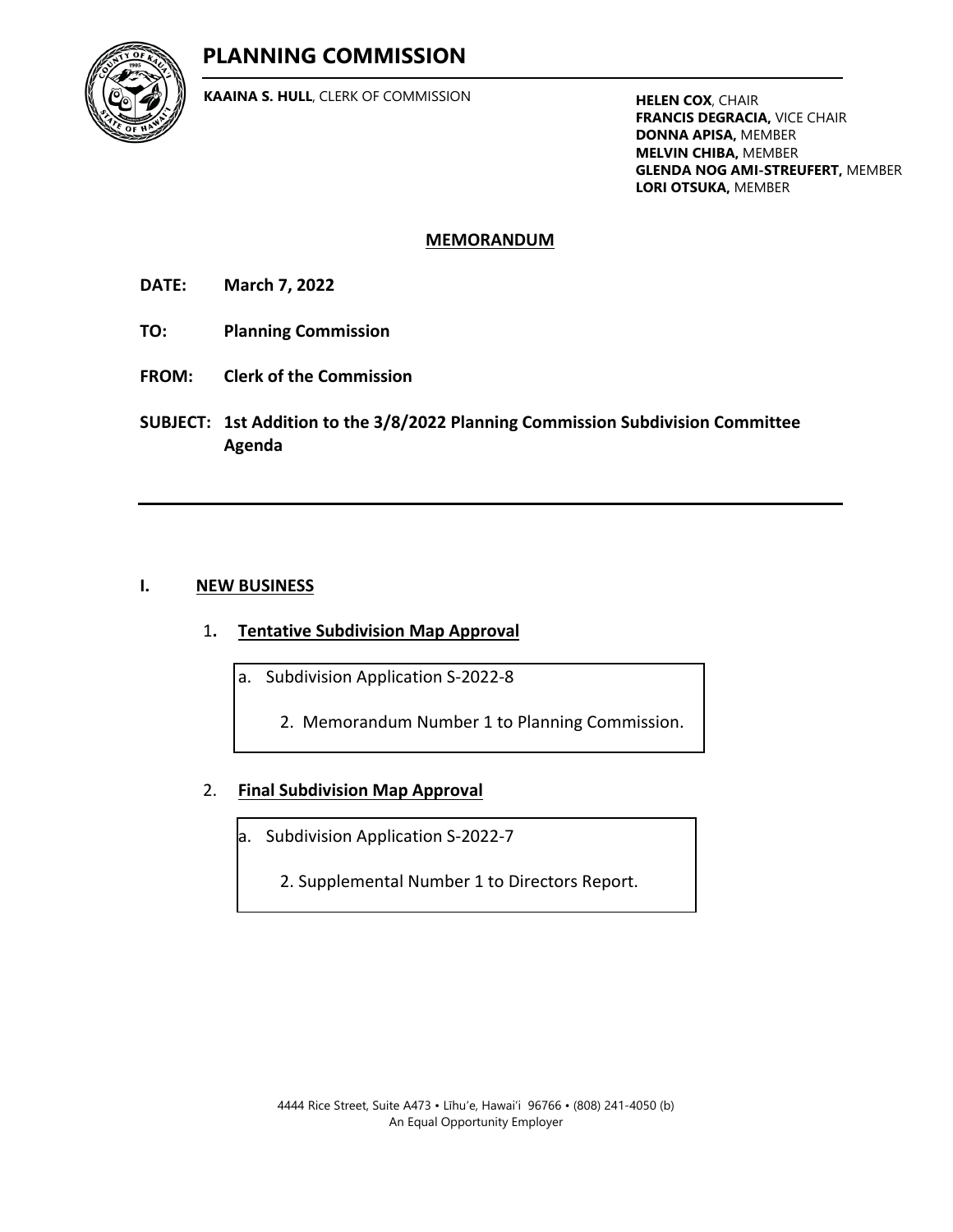## **PLANNING COMMISSION**



**KAAINA S. HULL**, CLERK OF COMMISSION **HELEN COX**, CHAIR

**FRANCIS DEGRACIA,** VICE CHAIR **DONNA APISA,** MEMBER **MELVIN CHIBA,** MEMBER **GLENDA NOG AMI-STREUFERT,** MEMBER **LORI OTSUKA,** MEMBER

## **MEMORANDUM**

**DATE: March 7, 2022**

- **TO: Planning Commission**
- **FROM: Clerk of the Commission**
- **SUBJECT: 1st Addition to the 3/8/2022 Planning Commission Subdivision Committee Agenda**

## **I. NEW BUSINESS**

- 1**. Tentative Subdivision Map Approval**
	- a. Subdivision Application S-2022-8
		- [2. Memorandum Number 1 to Planning Commission.](#page-1-0)

## 2. **Final Subdivision Map Approval**

- a. Subdivision Application S-2022-7
	- [2. Supplemental Number 1 to Directors Report.](#page-11-0)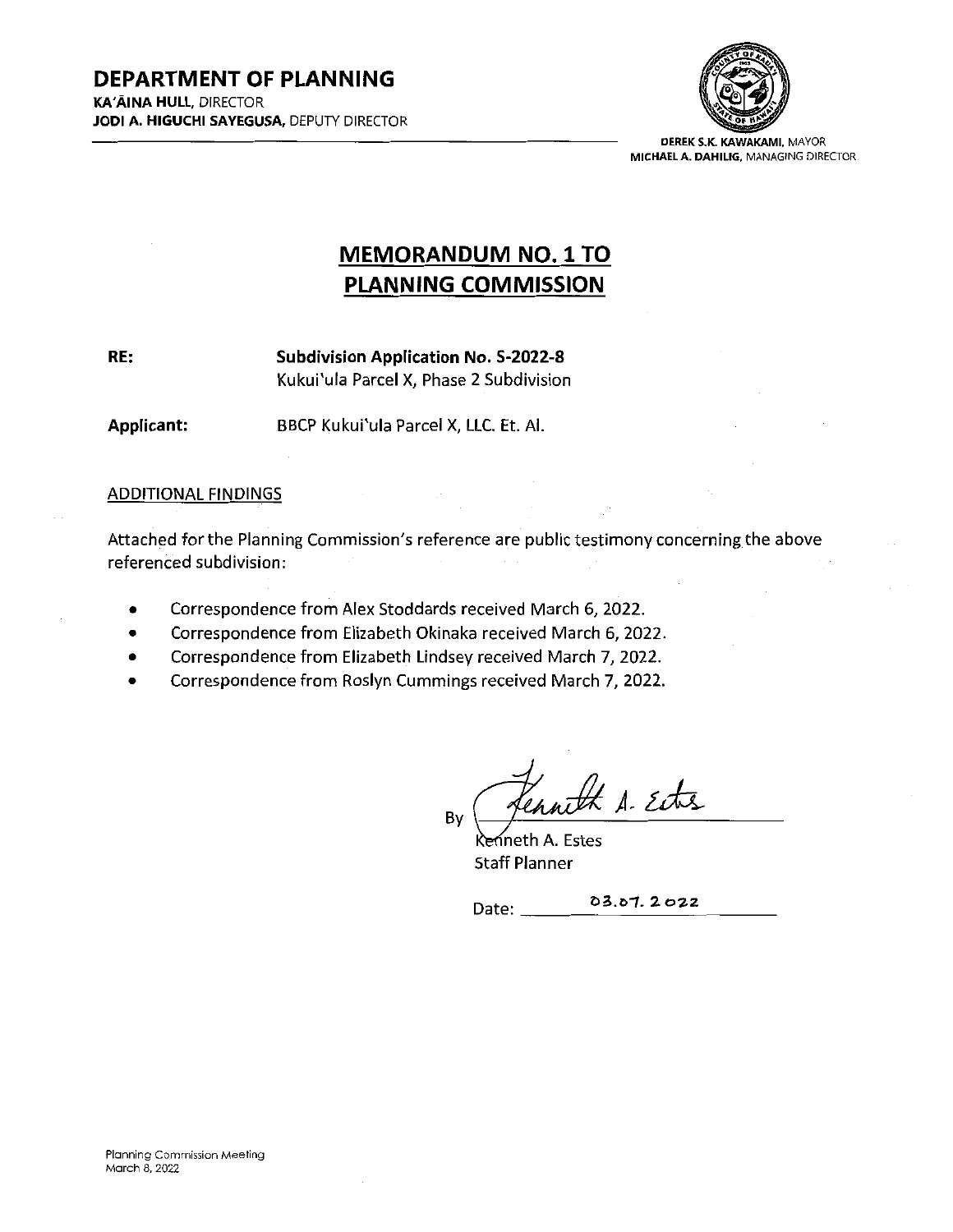

DEREK S.K. KAWAKAMI, MAYOR MICHAELA. DAHILIG. MANAGING DIRECTOR

# MEMORANDUM N0.1TO PLANNING COMMISSION

<span id="page-1-0"></span>RE:

Subdivision Application No. S-2022-8 Kukui'ula Parcel X, Phase 2 Subdivision

Applicant: BBCP Kukui'ula Parcel X, LLC. Et. Al.

## ADDITIONAL FIMDINGS

Attached for the Planning Commission's reference are public testimony concerning the above referenced subdivision:

- Correspondence from Alex Stoddards received March 6, 2022.
- Correspondence from Elizabeth Okinaka received March 6, 2022.
- Correspondence from Elizabeth Lindsey received March 7, 2022.
- Correspondence from Roslyn Cummings received March 7, 2022.

nth A. Ette By

ineth A. Estes Staff Planner

Date: 03.07.2022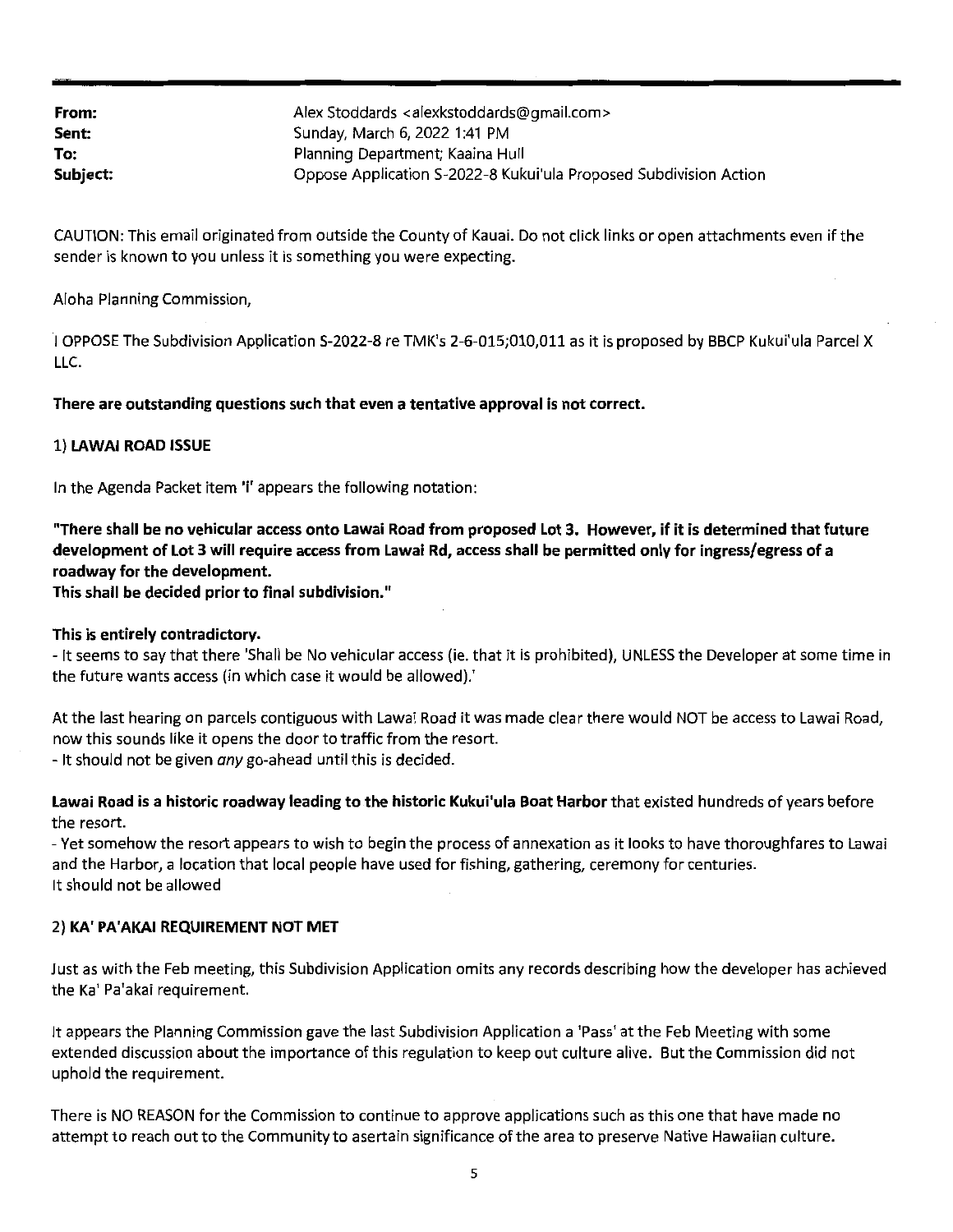| From:    | Alex Stoddards <alexkstoddards@gmail.com></alexkstoddards@gmail.com> |
|----------|----------------------------------------------------------------------|
| Sent:    | Sunday, March 6, 2022 1:41 PM                                        |
| To:      | Planning Department; Kaaina Hull                                     |
| Subject: | Oppose Application S-2022-8 Kukui'ula Proposed Subdivision Action    |

CAUTION: This email originated from outside the County of Kauai. Do not click links or open attachments even if the sender is known to you unless it is something you were expecting.

### Aloha Planning Commission,

<sup>1</sup> OPPOSE The Subdivision Application S-2022-8 re TMK's 2-6-015;010,011 as it is proposed by BBCP Kukui'ula Parcel <sup>X</sup> LLC.

#### There are outstanding questions such that even <sup>a</sup> tentative approval is not correct.

#### 1) LAWAI ROAD ISSUE

In the Agenda Packet item 'i' appears the following notation:

"There shall be no vehicular access onto Lawai Road from proposed Lot 3. However, if it is determined that future development of lot <sup>3</sup> will require access from Lawai Rd, access shall be permitted only for ingress/egress of <sup>a</sup> roadway for the development.

This shall be decided prior to final subdivision."

#### This is entirely contradictory.

- It seems to say that there 'Shall be No vehicular access (ie. that it is prohibited), UNLESS the Developer at some time in the future wants access (in which case it would be allowed).'

At the last hearing on parcels contiguous with Lawai Road it was made clear there would NOT be access to Lawai Road, now this sounds like it opens the door to traffic from the resort.

- It should not be given any go-ahead until this is decided.

Lawai Road is a historic roadway leading to the historic Kukui'ula Boat Harbor that existed hundreds of years before the resort.

- Yet somehow the resort appears to wish to begin the process of annexation as it looks to have thoroughfares to Lawai and the Harbor, <sup>a</sup> location that local people have used for fishing, gathering, ceremony for centuries. It should not be allowed

#### 2) KA' PA'AKAI REQUIREMENT NOT MET

Just as with the Feb meeting, this Subdivision Application omits any records describing how the developer has achieved the Ka' Pa'akai requirement.

It appears the Planning Commission gave the last Subdivision Application a'Pass' at the Feb Meeting with some extended discussion about the importance of this regulation to keep out culture alive. But the Commission did not uphold the requirement.

There is N0 REASON for the Commission to continue to approve applications such as this one that have made no attempt to reach out to the Community to asertain significance ofthe area to preserve Native Hawaiian culture.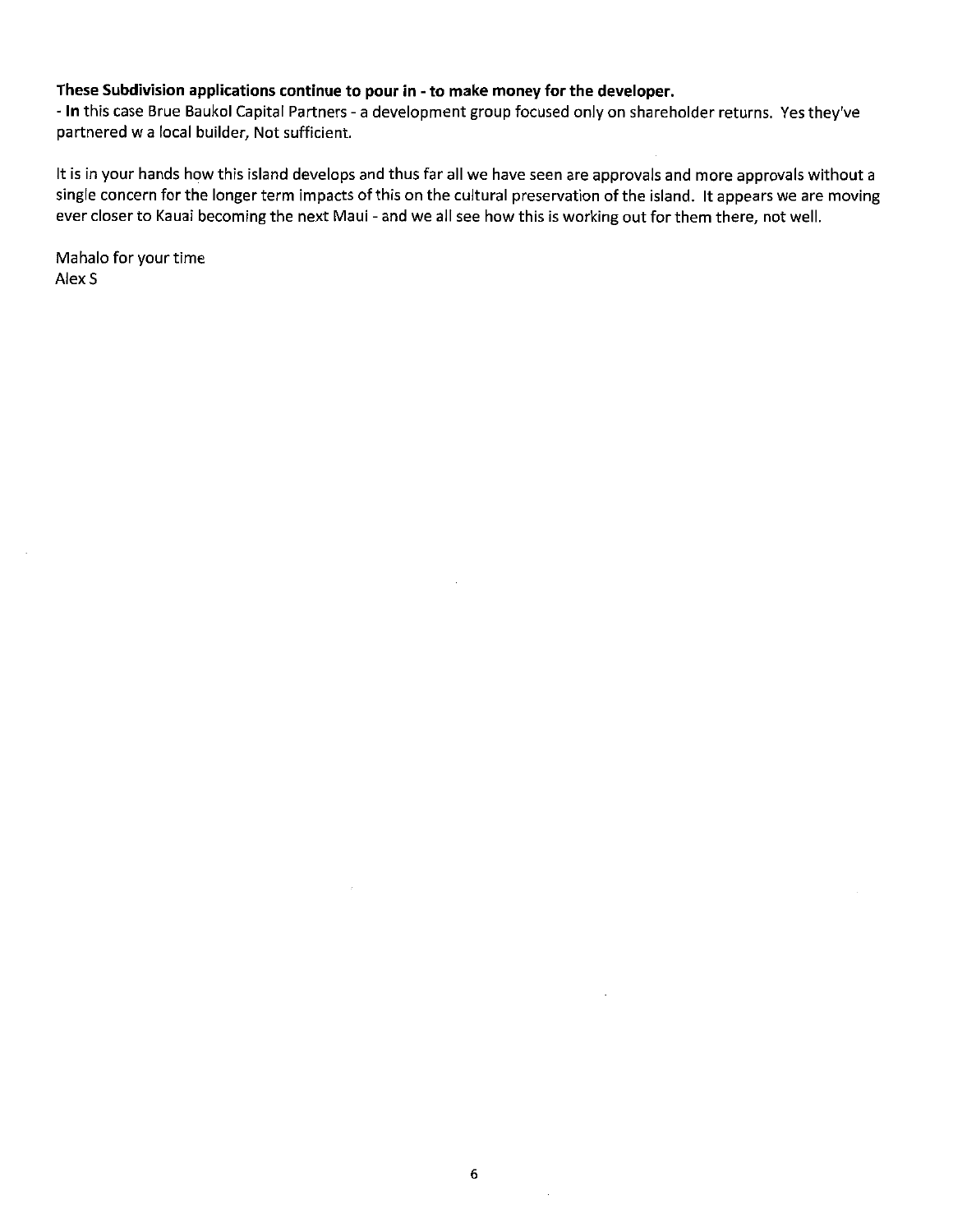#### These Subdivision applications continue to pour in - to make money for the developer.

- In this case Brue Baukol Capital Partners - a development group focused only on shareholder returns. Yes they've partnered w a local builder, Not sufficient.

It is in your hands how this island develops and thus far all we have seen are approvals and more approvals without a single concern for the longer term impacts of this on the cultural preservation of the island. It appears we are moving ever closer to Kauai becoming the next Maui - and we all see how this is working out for them there, not well.

Mahalo for your time Alex S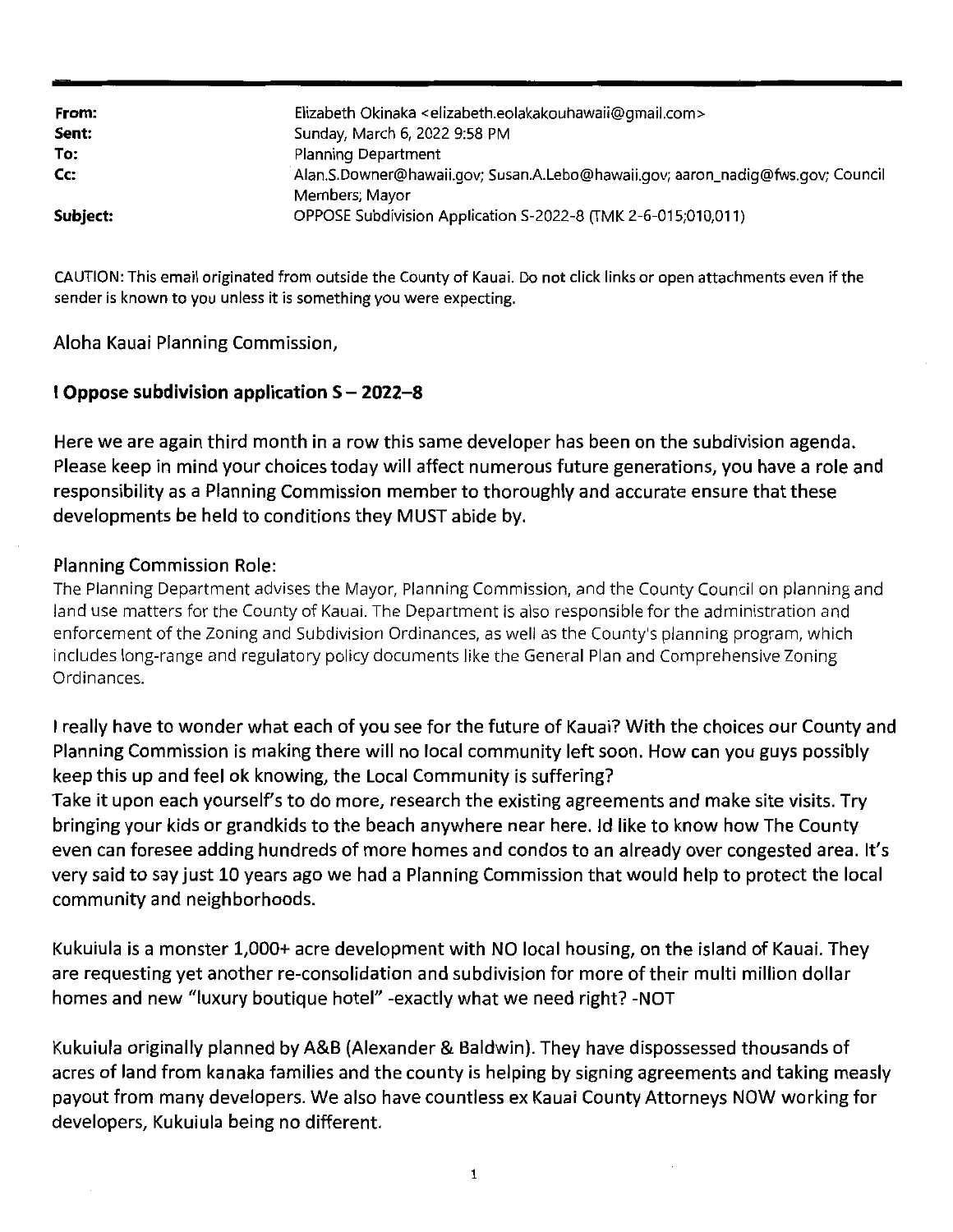| From:    | Elizabeth Okinaka <elizabeth.eolakakouhawaii@gmail.com></elizabeth.eolakakouhawaii@gmail.com> |
|----------|-----------------------------------------------------------------------------------------------|
| Sent:    | Sunday, March 6, 2022 9:58 PM                                                                 |
| To:      | Planning Department                                                                           |
| Cc:      | Alan.S.Downer@hawaii.gov; Susan.A.Lebo@hawaii.gov; aaron_nadig@fws.gov; Council               |
|          | Members; Mayor                                                                                |
| Subject: | OPPOSE Subdivision Application S-2022-8 (TMK 2-6-015;010,011)                                 |

CAUTION: This email originated from outside the County of Kauai. Do not click links or open attachments even ifthe sender is known to you unless it is something you were expecting.

Aloha Kauai Planning Commission,

## 1 Oppose subdivision application  $S - 2022 - 8$

Here we are again third month in <sup>a</sup> row this same developer has been on the subdivision agenda. Please keep in mind your choices today will affect numerous future generations, you have <sup>a</sup> role and responsibility as <sup>a</sup> Planning Commission member to thoroughly and accurate ensure that these developments be held to conditions they MUST abide by.

## Planning Commission Role:

The Planning Department advises the Mayor, Planning Commission, and the County Council on planning and land use matters for the County of Kauai. The Department is also responsible for the administration and enforcement of the Zoning and Subdivision Ordinances, as well as the County's planning program, which includes long-range and regulatory policy documents like the General Plan and Comprehensive Zoning Ordinances.

<sup>1</sup> really have to wonder what each of you see for the future of Kauai? With the choices our County and Planning Commission is making there will no local community left soon. How can you guys possibly keep this up and feel ok knowing, the Local Community is suffering? Take it upon each yourself's to do more, research the existing agreements and make site visits. Try bringing your kids or grandkids to the beach anywhere near here. Id like to know how The County even can foresee adding hundreds of more homes and condos to an already over congested area. It's very said to sayjust 10 years ago we had <sup>a</sup> Planning Commission that would help to protect the local community and neighborhoods.

Kukuiula is <sup>a</sup> monster 1,000+ acre development with N0 local housing, on the island of Kauai. They are requesting yet another re-consolidation and subdivision for more of their multi million dollar homes and new "luxury boutique hotel" -exactly what we need right? -NOT

Kukuiula originally planned by A&B (Alexander & Baldwin). They have dispossessed thousands of acres of land from kanaka families and the county is helping by signing agreements and taking measly payout from many developers. We also have countless ex Kauai County Attorneys NOW working for developers, Kukuiula being no different.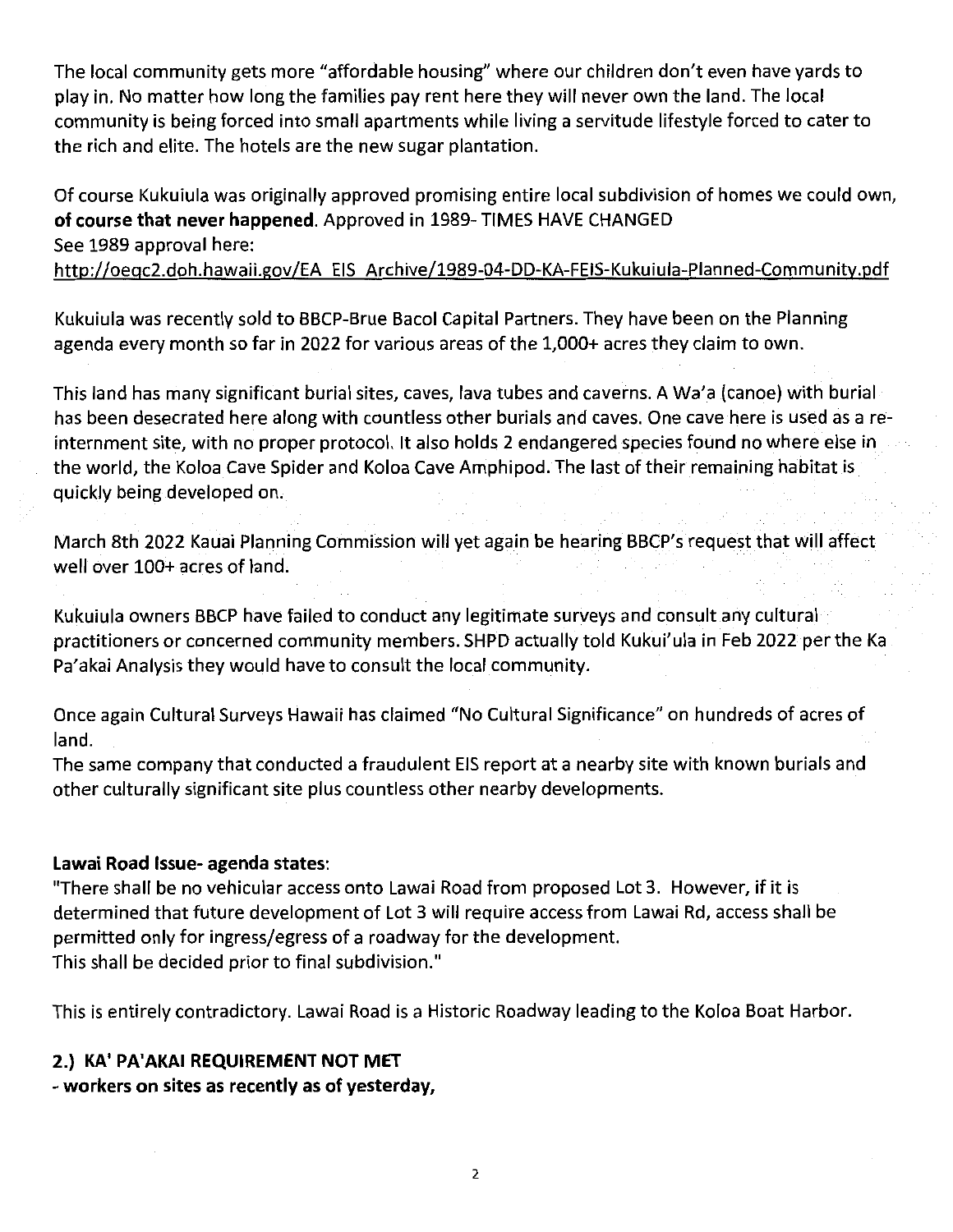The local community gets more "affordable housing" where our children don't even have yards to play in. No matter how long the families pay rent here they will never own the land. The local community is being forced into small apartments while living <sup>a</sup> servitude lifestyle forced to cater to the rich and elite. The hotels are the new sugar plantation.

Of course Kukuiula was originally approved promising entire local subdivision of homes we could own, of course that never happened. Approved in 1989- TIMES HAVE CHANGED See 1989 approval here:

http://oegc2.doh.hawaii.gov/EA EIS Archive/1989-04-DD-KA-FEIS-Kukuiula-Planned-Community.pdf

Kukuiula was recently sold to BBCP-Brue Bacol Capital Partners. They have been on the Planning agenda every month so far in 2022 for various areas of the 1,000+ acres they claim to own.

This land has many significant burial sites, caves, lava tubes and caverns. A Wa'a (canoe) with burial has been desecrated here along with countless other burials and caves. One cave here is used as a reinternment site, with no proper protocol. It also holds <sup>2</sup> endangered species found no where else in the world, the Koloa Cave Spider and Koloa Cave Amphipod. The last of their remaining habitat is quickly being developed on.

March 8th 2022 Kauai Planning Commission will yet again be hearing BBCP's requestthat will affect well over 100+ acres of land.

Kukuiula owners BBCP have failed to conduct any legitimate surveys and consult any cultural practitioners or concerned community members. SHPD actually told Kukui'ula in Feb 2022 per the Ka Pa'akai Analysis they would have to consult the local community.

Once again Cultural Surveys Hawaii has claimed "No Cultural Significance" on hundreds of acres of land.

The same company that conducted <sup>a</sup> fraudulent EIS report at <sup>a</sup> nearby site with known burials and other culturally significant site plus countless other nearby developments.

## Lawai Road Issue- agenda states:

"There shall be no vehicular access onto Lawai Road from proposed Lot 3. However, if it is determined that future development of Lot <sup>3</sup> will require access from Lawai Rd, access shall be permitted only for ingress/egress of <sup>a</sup> roadway for the development. This shall be decided prior to final subdivision."

This is entirely contradictory. Lawai Road is a Historic Roadway leading to the Koloa Boat Harbor.

## 2.) KA' PA'AKAI REQUIREMENT NOT MET

- workers on sites as recently as of yesterday,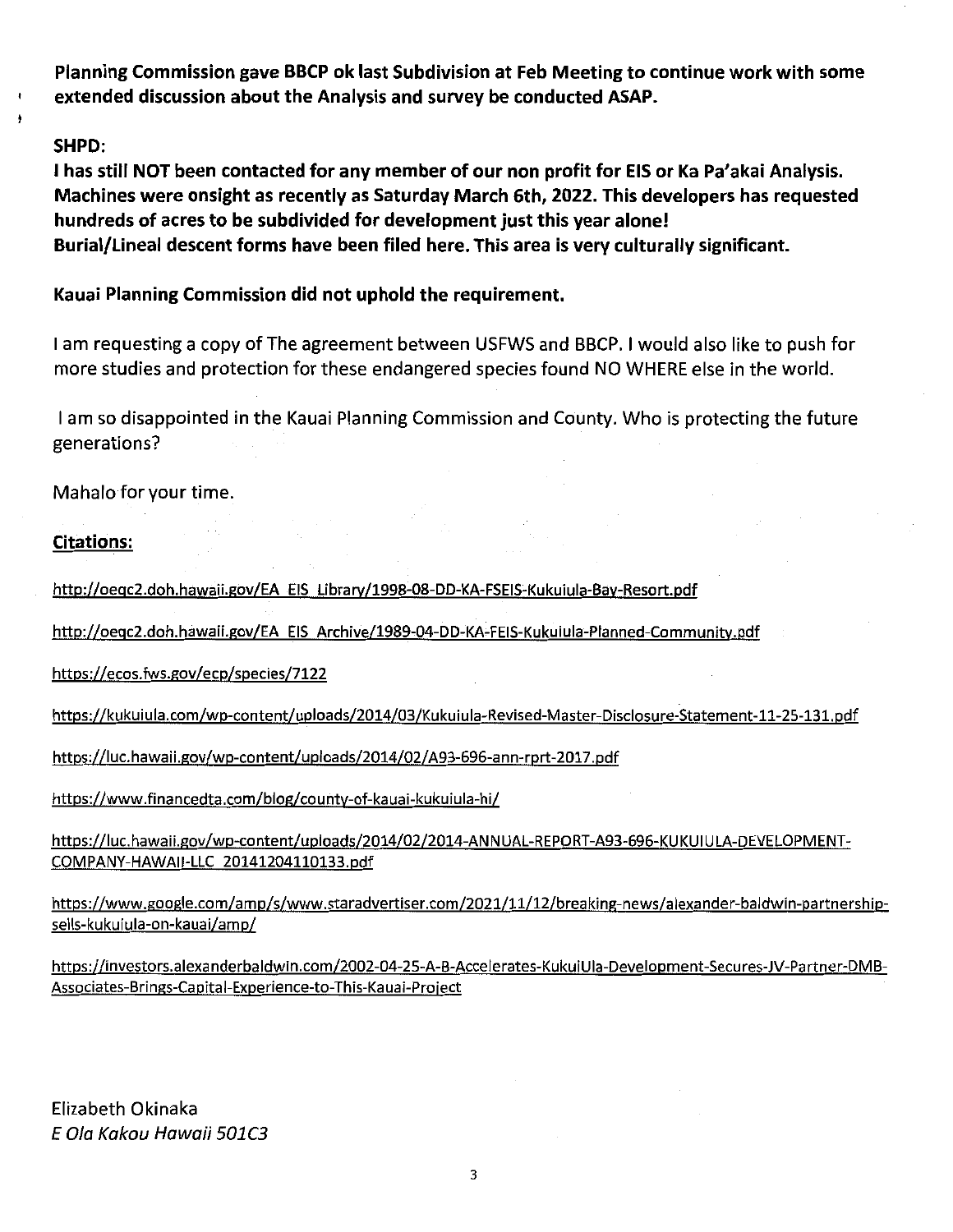Planning Commission gave BBCP ok last Subdivision at Feb Meeting to continue work with some extended discussion about the Analysis and survey be conducted ASAP.

## SHPD:

<sup>1</sup> has still NOT been contacted for any member of our non profit for EIS or Ka Pa'akai Analysis. Machines were onsight as recently as Saturday March 6th, 2022. This developers has requested hundreds of acres to be subdivided for development just this year alone! Burial/Lineal descent forms have been filed here. This area is very culturally significant.

Kauai Planning Commission did not uphold the requirement.

<sup>1</sup> am requesting <sup>a</sup> copy ofThe agreement between USFWS and BBCP. <sup>1</sup> would also like to push for more studies and protection for these endangered species found N0 WHERE else in the world.

<sup>1</sup> am so disappointed in the Kauai Planning Commission and County. Who is protecting the future generations?

Mahalo for your time.

## Citations:

http://oeqc2.doh.hawaii.gov/EA EIS Library/1998-08-DD-KA-FSEIS-Kukuiula-Bay-Resort.pdf

http://oegc2.doh.hawaii.gov/EA EIS Archive/1989-04-DD-KA-FEIS-Kukuiula-Planned-Community.pdf

https://ecos.fws.gov/ecp/species/7122

https://kukuiula.com/wp-content/uploads/2014/03/Kukuiula-Revised-Master-Disclosure-Statement-11-25-131.pdf

https://luc.hawaii.gov/wp-content/uploads/2014/02/A93-696-ann-rprt-2017.pdf

https://www.financedta.com/blog/county-of-kauai-kukuiula-hi/

https://luc.hawaii.gov/wp-content/uploads/2014/02/2014-ANNUAL-REPORT-A93-696-KUKUIULA-DEVELOPMENT-COMPANY-HAWAII-LLC 20141204110133.pdf

https://www.google.com/amp/s/www.staradvertiser.com/2021/11/12/breaking-news/alexander-baldwin-partnershipsells-kukuiula-on-kauai/amp/

https://investors.alexanderbaldwin.com/2002-04-25-A-B-Accelerates-KukuiUla-Development-Secures-JV-Partner-DMB-Associates-Brings-Capital-Experience-to-This-Kauai-Project

Elizabeth Okinaka <sup>E</sup> Ola Kakou Hawaii 501C3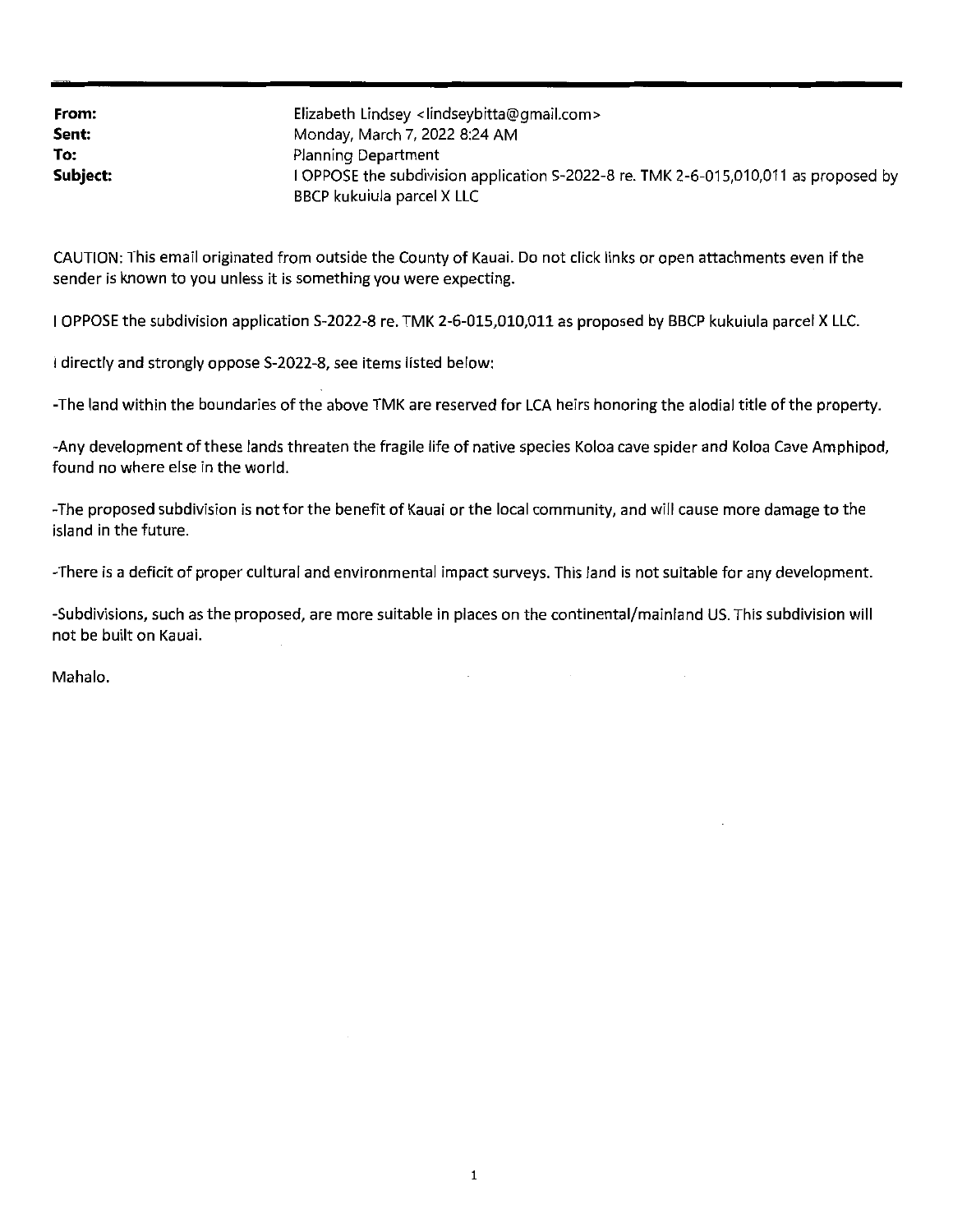| From:    | Elizabeth Lindsey <lindseybitta@gmail.com></lindseybitta@gmail.com>                                                |
|----------|--------------------------------------------------------------------------------------------------------------------|
| Sent:    | Monday, March 7, 2022 8:24 AM                                                                                      |
| To:      | Planning Department                                                                                                |
| Subject: | I OPPOSE the subdivision application S-2022-8 re. TMK 2-6-015,010,011 as proposed by<br>BBCP kukujula parcel X LLC |

CAUTION; This email originated from outside the County of Kauai. Do not click links or open attachments even if the sender is known to you unless it is something you were expecting.

<sup>1</sup> OPPOSE the subdivision application S-2022-8 re. TMK 2-6-015,010,011 as proposed by BBCP kukuiula parcel <sup>X</sup> LLC.

<sup>1</sup> directly and strongly oppose S-2022-8, see items listed below:

-The land within the boundaries of the above TMK are reserved for LCA heirs honoring the alodial title of the property.

-Any development ofthese lands threaten the fragile life of native species Koloa cave spider and Koloa Cave Amphipod, found no where else in the world.

-The proposed subdivision is not for the benefit of Kauai or the local community, and will cause more damage to the island in the future.

-There is <sup>a</sup> deficit of proper cultural and environmental impact surveys. This land is not suitable for any development.

-Subdivisions, such as the proposed, are more suitable in places on the continental/mainland US. This subdivision will not be built on Kauai.

Mahalo.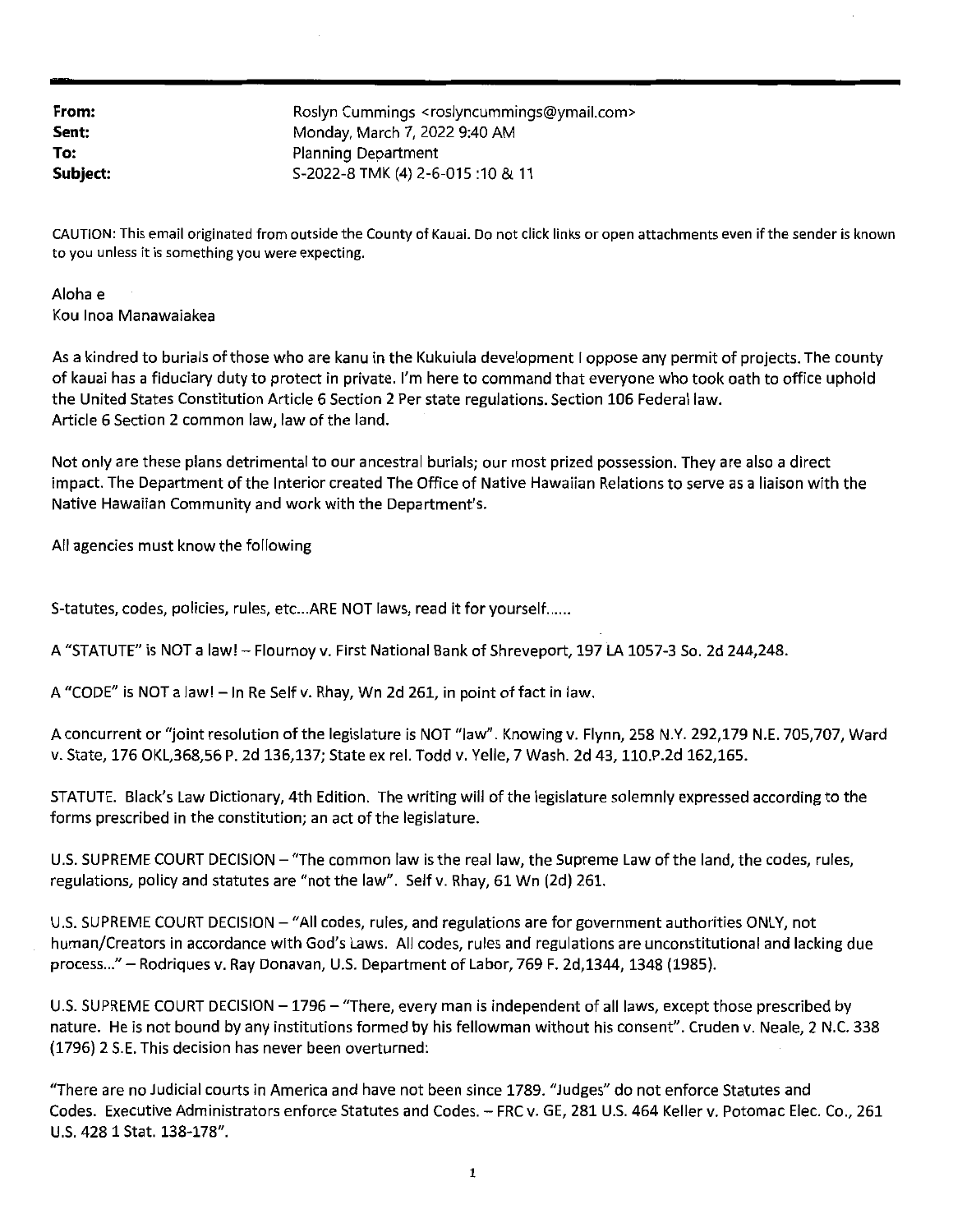| From:    | Roslyn Cummings <roslyncummings@ymail.com></roslyncummings@ymail.com> |
|----------|-----------------------------------------------------------------------|
| Sent:    | Monday, March 7, 2022 9:40 AM                                         |
| To:      | Planning Department                                                   |
| Subject: | S-2022-8 TMK (4) 2-6-015:10 & 11                                      |

CAUTION: This email originated from outside the County of Kauai. Do not click links or open attachments even ifthe sender is known to you unless it is something you were expecting.

Aloha e Kou Inoa Manawaiakea

As a kindred to burials of those who are kanu in the Kukuiula development I oppose any permit of projects. The county of kauai has <sup>a</sup> fiduciary duty to protect in private. I'm here to command that everyone who took oath to office uphold the United States Constitution Article 6 Section 2 Per state regulations. Section 106 Federal law. Article 6 Section 2 common law, law of the land.

Not only are these plans detrimental to our ancestral burials; our most prized possession. They are also <sup>a</sup> direct impact. The Department of the Interior created The Office of Native Hawaiian Relations to serve as a liaison with the Native Hawaiian Community and work with the Department's.

All agencies must know the following

S-tatutes, codes, policies, rules, etc...ARE NOT laws, read it for yourself......

A "STATUTE" is NOT <sup>a</sup> law! - Flournoy v. First National Bank of Shreveport, <sup>197</sup> LA 1057-3 So. 2d 244,248.

A "CODE" is NOT a law! - In Re Self v. Rhay, Wn 2d 261, in point of fact in law.

A concurrent or "joint resolution of the legislature is NOT "law". Knowing v. Flynn, 258 N.Y. 292,179 N.E. 705,707, Ward v. State, 176 OKL,368,56 P. 2d 136,137; State ex rel. Todd v. Yelle, 7 Wash. 2d 43,110.P.2d 162,165.

STATUTE. Black's Law Dictionary, 4th Edition. The writing will of the legislature solemnly expressed according to the forms prescribed in the constitution; an act of the legislature.

U.S. SUPREME COURT DECISION - "The common law is the real law, the Supreme Law of the land, the codes, rules, regulations, policy and statutes are "not the law". Self v. Rhay, 61 Wn (2d) 261.

U.S. SUPREME COURT DECISION – "All codes, rules, and regulations are for government authorities ONLY, not human/Creators in accordance with God's Laws. All codes, rules and regulations are unconstitutional and lacking due process..." - Rodriques v. Ray Donavan, U.S. Department of Labor, 769 F. 2d, 1344, 1348 (1985).

U.S. SUPREME COURT DECISION – 1796 – "There, every man is independent of all laws, except those prescribed by nature. He is not bound by any institutions formed by his fellowman without his consent". Cruden v. Neale, <sup>2</sup> N.C. 338 (1796) <sup>2</sup> S.E. This decision has never been overturned:

"There are no Judicial courts in America and have not been since 1789. "Judges" do not enforce Statutes and Codes. Executive Administrators enforce Statutes and Codes. - FRC v. GE, <sup>281</sup> U.S. <sup>464</sup> Keller v. Potomac Elec. Co., <sup>261</sup> U.S. 428 1 Stat. 138-178".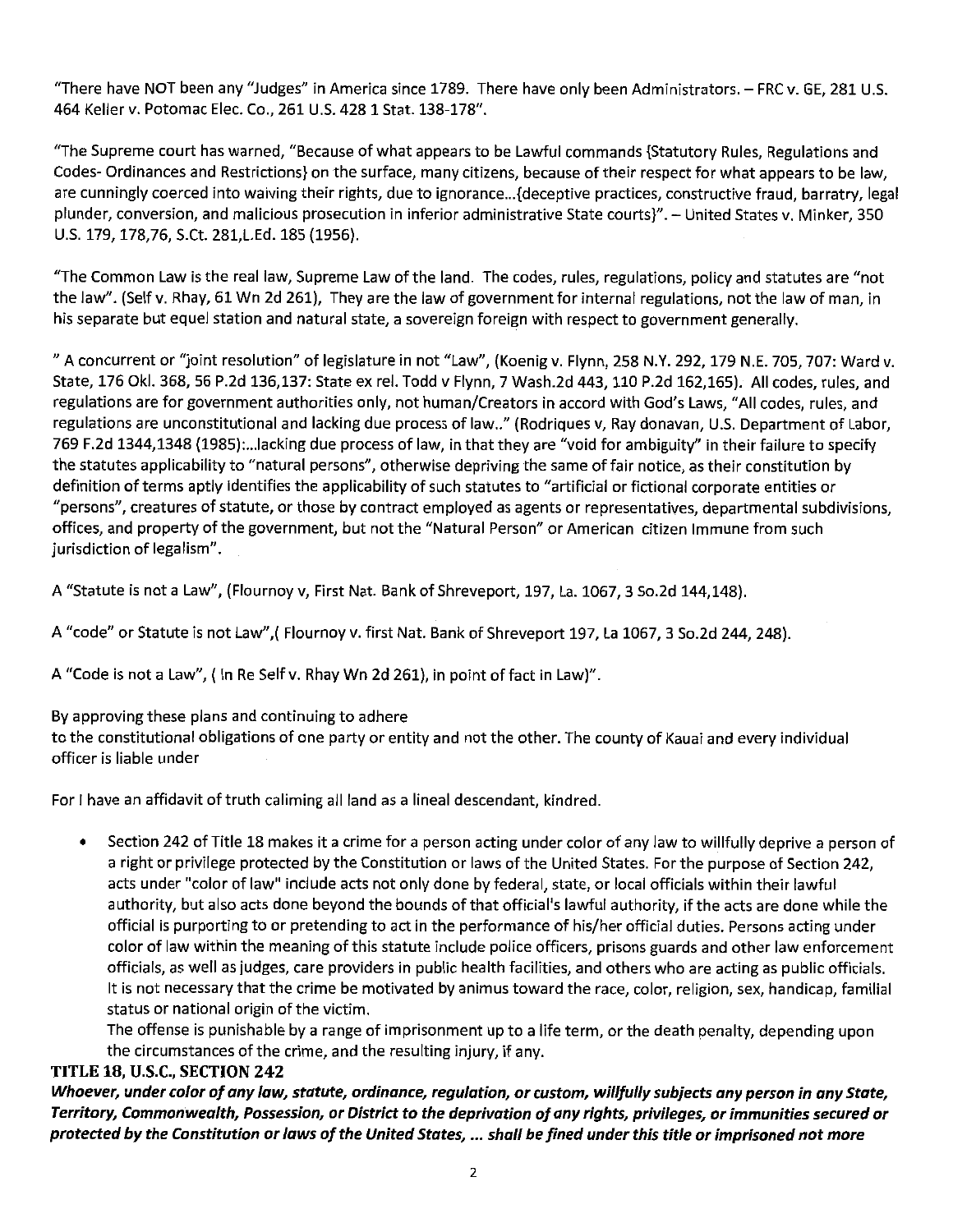"There have NOT been any "Judges" in America since 1789. There have only been Administrators. - FRC v. GE, 281 U.S. 464 Keller v. Potomac Elec. Co., 261 U.S. 428 1 Stat. 138-178".

"The Supreme court has warned, "Because ofwhat appears to be Lawful commands {Statutory Rules, Regulations and Codes- Ordinances and Restrictions} on the surface, many citizens, because oftheir respect for what appears to be law, are cunningly coerced into waiving their rights, due to ignorance...{deceptive practices, constructive fraud, barratry, legal plunder, conversion, and malicious prosecution in inferior administrative State courts}". - United States v. Minker, <sup>350</sup> U.S. 179,178,76, S.Ct. 281,L.Ed. 185 (1956).

"The Common Law is the real law, Supreme Law ofthe land. The codes, rules, regulations, policy and statutes are "not the law". (Self v. Rhay, 61 Wn 2d 261), They are the law of government for internal regulations, not the law of man, in his separate but equel station and natural state, <sup>a</sup> sovereign foreign with respect to government generally.

" <sup>A</sup> concurrent or "joint resolution" of legislature in not "Law", (Koenig v. Flynn, <sup>258</sup> N.Y. 292,179 N.E. 705, 707: Ward v. State, 176 Okl. 368, 56 P.2d 136,137: State ex rel. Todd v Flynn, 7 Wash.2d 443,110 P.2d 162,165). All codes, rules, and regulations are for government authorities only, not human/Creators in accord with God's Laws, "All codes, rules, and regulations are unconstitutional and lacking due process of law.." (Rodriques v, Ray donavan, U.S. Department of Labor, <sup>769</sup> F.2d 1344,1348 (1985):...lacking due process of law, in that they are "void for ambiguity" in their failure to specify the statutes applicability to "natural persons", otherwise depriving the same offair notice, as their constitution by definition of terms aptly identifies the applicability of such statutes to "artificial or fictional corporate entities or "persons", creatures of statute, or those by contract employed as agents or representatives, departmental subdivisions, offices, and property of the government, but not the "Natural Person" or American citizen Immune from such jurisdiction of legalism".

A "Statute is not <sup>a</sup> Law", (Flournoy v, First Nat. Bank of Shreveport, 197, La. 1067, <sup>3</sup> So.2d 144,148).

A "code" or Statute is not Law",( Flournoy v. first Nat. Bank of Shreveport 197, La 1067, <sup>3</sup> So.2d 244, 248).

A"Code is not <sup>a</sup> Law", (In Re Self v. Rhay Wn 2d 261), in point of fact in Law)".

## By approving these plans and continuing to adhere

to the constitutional obligatlons of one party or entity and not the other. The county of Kauai and every individual officer is liable under

For I have an affidavit of truth caliming all land as a lineal descendant, kindred.

• Section <sup>242</sup> of Title <sup>18</sup> makes it <sup>a</sup> crime for <sup>a</sup> person acting under color of any law to willfully deprive <sup>a</sup> person of <sup>a</sup> right or privilege protected by the Constitution or laws of the United States. For the purpose of Section 242, acts under "color of law" include acts not only done by federal, state, or local officials within their lawful authority, but also acts done beyond the bounds of that official's lawful authority, if the acts are done while the official is purporting to or pretending to act in the performance of his/her official duties. Persons acting under color of law within the meaning of this statute include police officers, prisons guards and other law enforcement officials, as well asjudges, care providers in public health facilities, and others who are acting as public officials. It is not necessary that the crime be motivated by animus toward the race, color, religion, sex, handicap, familial status or national origin of the victim.

The offense is punishable by a range of imprisonment up to a life term, or the death penalty, depending upon the circumstances of the crime, and the resulting injury, if any.

## TITLE 18, U.S.C., SECTION 242

Whoever, under color of any law, statute, ordinance, regulation, or custom, willfully subjects any person in any State, Territory, Commonwealth, Possession, or District to the deprivation of any rights, privileges, or immunities secured or protected by the Constitution or laws of the United States, … shall be fined under this title or imprisoned not more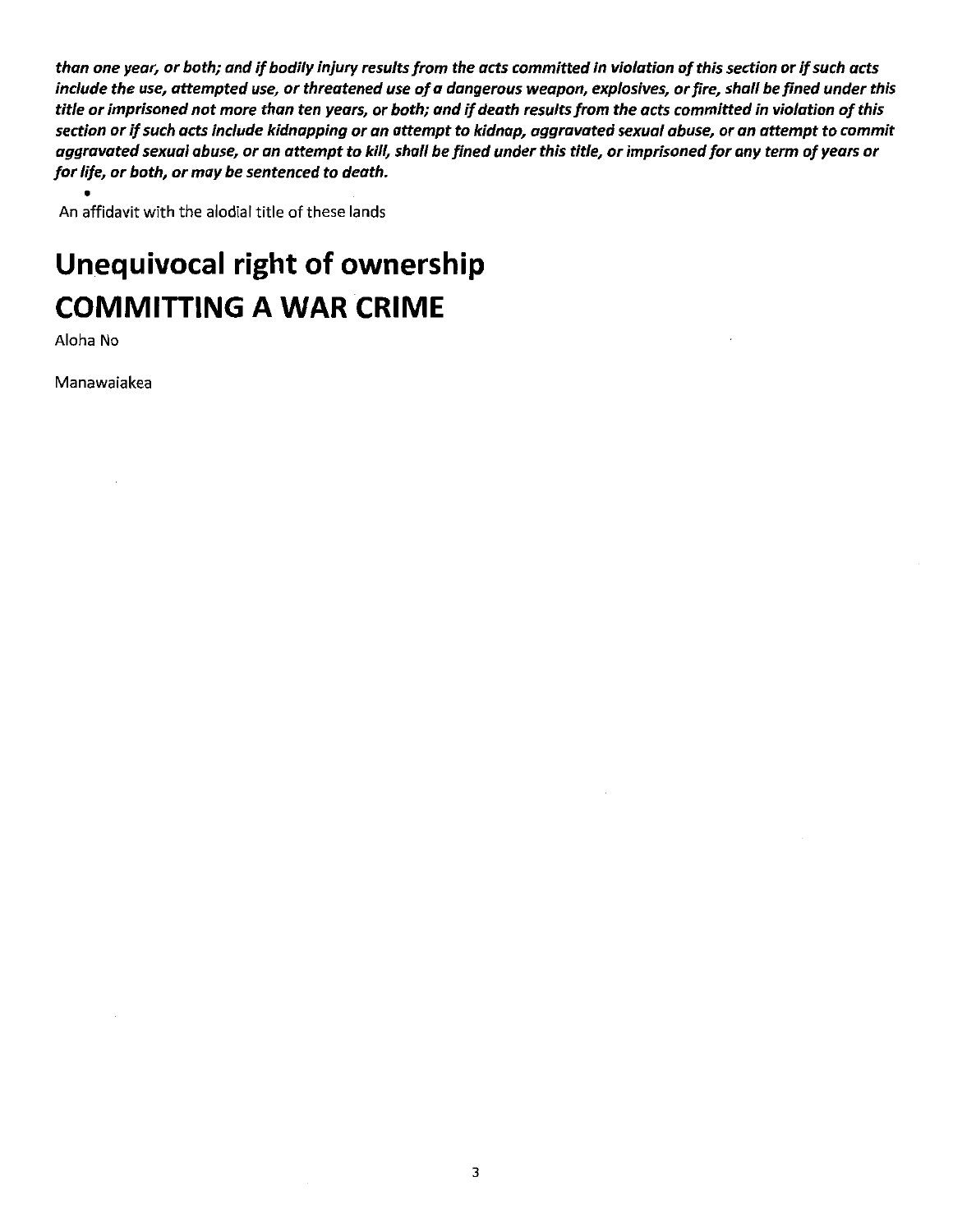than one year, or both; and if bodily injury results from the acts committed in violation of this section or if such acts include the use, attempted use, or threatened use of a dangerous weapon, explosives, or fire, shall be fined under this title or imprisoned not more than ten years, or both; and if death results from the acts committed in violation of this section or if such acts include kidnapping or an attempt to kidnap, aggravated sexual abuse, or an attempt to commit aggravated sexual abuse, or an attempt to kill, shall be fined under this title, or imprisoned for any term of years or for life, or both, or may be sentenced to death.

An affidavit with the alodial title of these lands

# Unequivocal right of ownership **COMMITTING A WAR CRIME**

Aloha No

Manawaiakea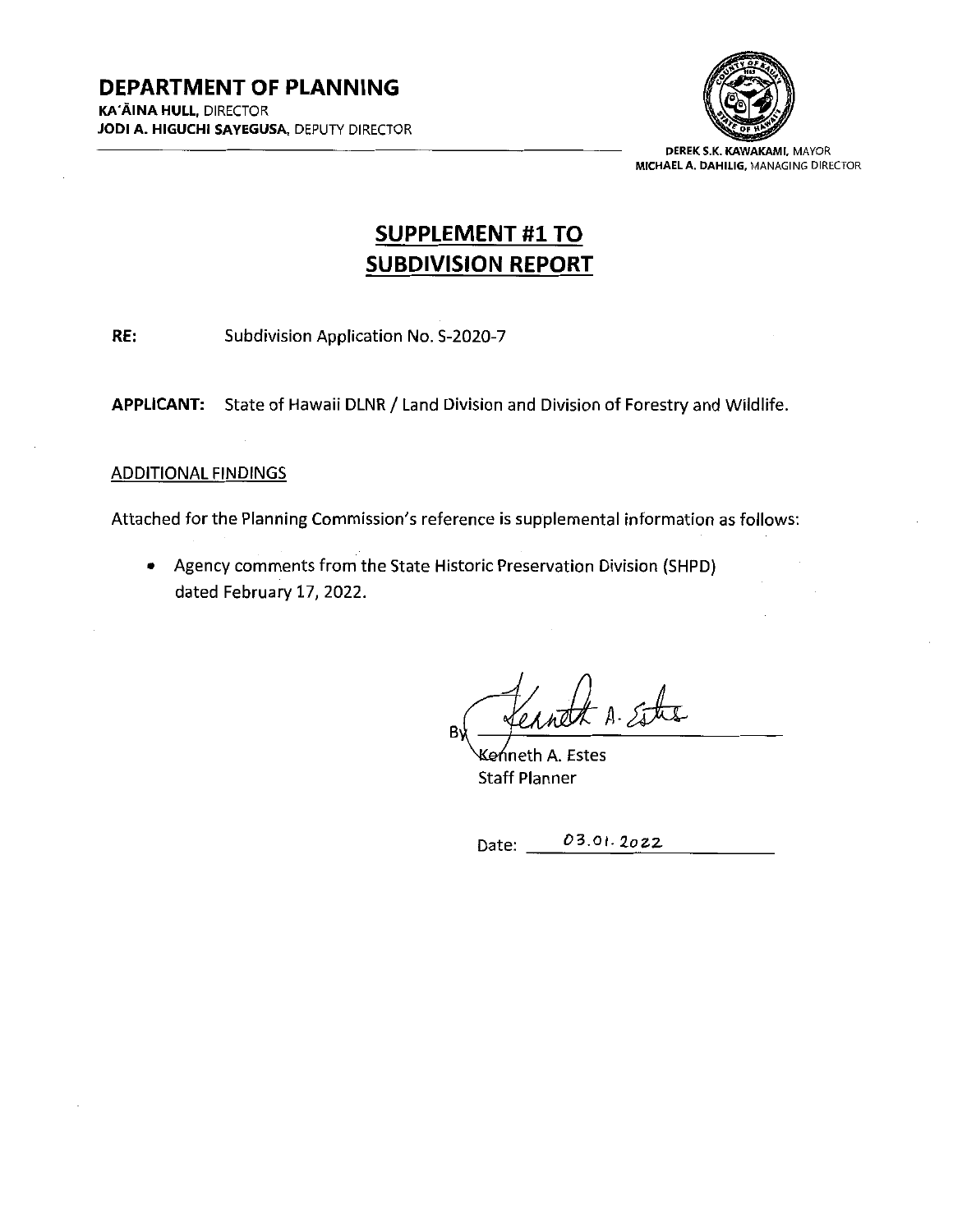

DEREK S.K. KAWAKAMI, MAYOR MICHAELA. DAHILIG, MANAGING DIRECTOR

# SUPPLEMENT #1TO SUBDIVISION REPORT

<span id="page-11-0"></span>RE: Subdivision Application No. S-2020-7

APPLICANT: State of Hawaii DLNR / Land Division and Division of Forestry and Wildlife.

## **ADDITIONAL FINDINGS**

Attached for the Planning Commission's reference is supplemental information as follows:

• Agency comments from the State Historic Preservation Division (SHPD) dated February 17, 2022.

 $A.$  state В١

Keńneth A. Estes Staff Planner

Date: 03.01.2022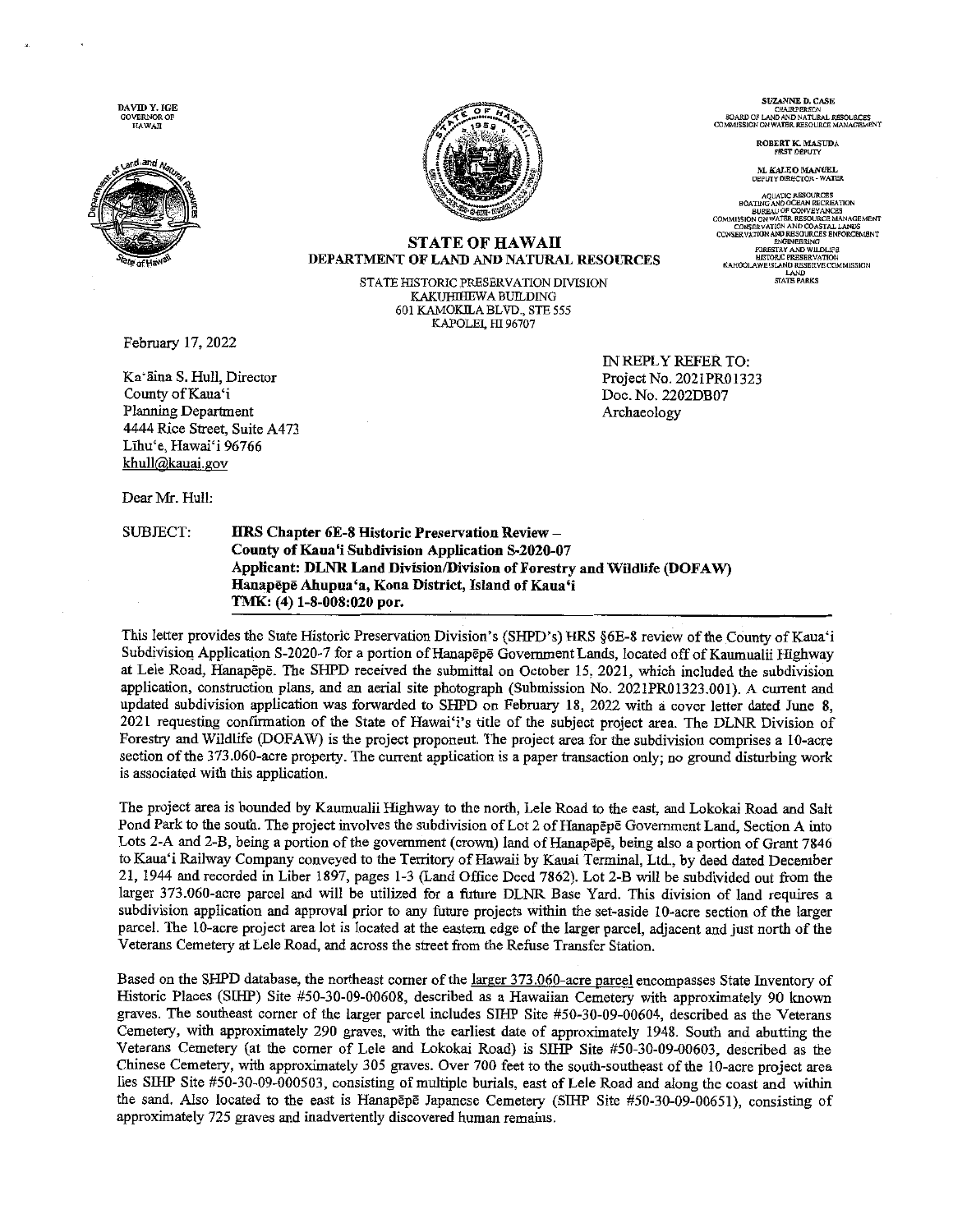DAVID Y. IGE  $\begin{array}{ll} \text{GOVERNOR OF} \\ \text{HAMAII} \end{array}$ 





#### **STATE OF HAWAII** DEPARTMENT OF LAND AND NATURAL RESOURCES

STATE HISTORIC PRESERVATION DIVISION KAKUHIHEWA BUILDING 601 KAMOKILA BLVD., STE 555 KAPOLEI, HI 96707

February 17, 2022

Ka'āina S. Hull, Director County of Kaua'i Planning Department 4444 Rice Street, Suite A473 Līhu'e, Hawai'i 96766 khull@kauai.gov

Dear Mr. Hull:

SUBJECT:

HRS Chapter 6E-8 Historic Preservation Review -County of Kaua'i Subdivision Application S-2020-07 Applicant: DLNR Land Division/Division of Forestry and Wildlife (DOFAW) Hanapēpē Ahupua'a, Kona District, Island of Kaua'i TMK: (4) 1-8-008:020 por.

This letter provides the State Historic Preservation Division's (SHPD's) HRS §6E-8 review of the County of Kaua'i Subdivision Application S-2020-7 for a portion of Hanapepe Government Lands, located off of Kaumualii Highway at Lele Road, Hanapepe. The SHPD received the submittal on October 15, 2021, which included the subdivision application, construction plans, and an aerial site photograph (Submission No. 2021PR01323.001). A current and updated subdivision application was forwarded to SHPD on February 18, 2022 with a cover letter dated June 8. 2021 requesting confirmation of the State of Hawai'i's title of the subject project area. The DLNR Division of Forestry and Wildlife (DOFAW) is the project proponent. The project area for the subdivision comprises a 10-acre section of the 373.060-acre property. The current application is a paper transaction only; no ground disturbing work is associated with this application.

The project area is bounded by Kaumualii Highway to the north, Lele Road to the east, and Lokokai Road and Salt Pond Park to the south. The project involves the subdivision of Lot 2 of Hanapepe Government Land, Section A into Lots 2-A and 2-B, being a portion of the government (crown) land of Hanapepe, being also a portion of Grant 7846 to Kaua'i Railway Company conveyed to the Territory of Hawaii by Kauai Terminal, Ltd., by deed dated December 21, 1944 and recorded in Liber 1897, pages 1-3 (Land Office Deed 7862). Lot 2-B will be subdivided out from the larger 373.060-acre parcel and will be utilized for a future DLNR Base Yard. This division of land requires a subdivision application and approval prior to any future projects within the set-aside 10-acre section of the larger parcel. The 10-acre project area lot is located at the eastern edge of the larger parcel, adjacent and just north of the Veterans Cemetery at Lele Road, and across the street from the Refuse Transfer Station.

Based on the SHPD database, the northeast corner of the larger 373.060-acre parcel encompasses State Inventory of Historic Places (SIHP) Site #50-30-09-00608, described as a Hawaiian Cemetery with approximately 90 known graves. The southeast corner of the larger parcel includes SIHP Site #50-30-09-00604, described as the Veterans Cemetery, with approximately 290 graves, with the earliest date of approximately 1948. South and abutting the Veterans Cemetery (at the corner of Lele and Lokokai Road) is SIHP Site #50-30-09-00603, described as the Chinese Cemetery, with approximately 305 graves. Over 700 feet to the south-southeast of the 10-acre project area lies SIHP Site #50-30-09-000503, consisting of multiple burials, east of Lele Road and along the coast and within the sand. Also located to the east is Hanapepe Japanese Cemetery (SIHP Site #50-30-09-00651), consisting of approximately 725 graves and inadvertently discovered human remains.

SUZANNE D. CASE CHAIRPERSON<br>BOARD OF LAND AND NATURAL RESOURCES<br>COMMISSION ON WATER RESOURCE MANAGEMENT

ROBERT K. MASUDA<br>FIRST DEPUTY

M. KALEO MANUEL<br>DEPUTY DIRECTOR - WATER

**AQUATIC RESOURCES** AQUATU RESOURCES<br>BOATING AND OCEAN RECREATION<br>BUREAU OP CONVEYANCES<br>ISBON DR WATER RESOURCE MANAGEMENT<br>CONSERVATION AND COASTAL LANDS<br>ERVATION AND RESOURCES ENFORCEMENT ENGINER **CAIN EDRESTRY AND WILDLIFE** STORIC PRESERVATION KAHOOLAWE ISLAND RESERVE COMMISSION LAND<br>STATE PARKS

IN REPLY REFER TO: Project No. 2021PR01323 Doc. No. 2202DB07 Archaeology